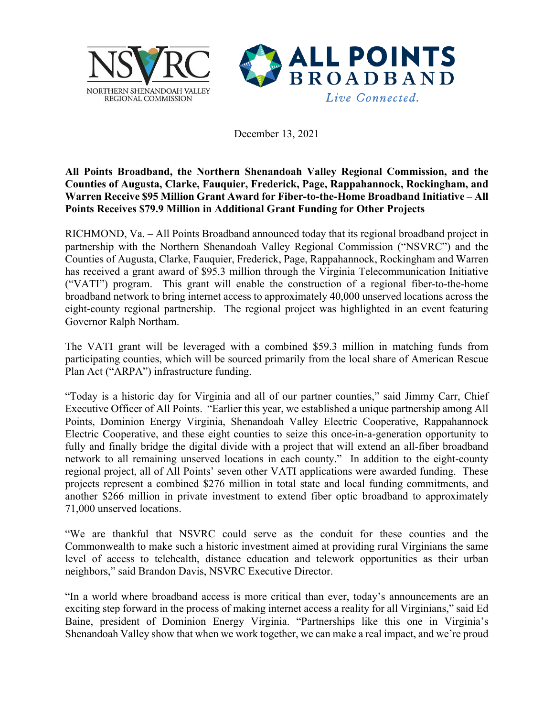



December 13, 2021

## **All Points Broadband, the Northern Shenandoah Valley Regional Commission, and the Counties of Augusta, Clarke, Fauquier, Frederick, Page, Rappahannock, Rockingham, and Warren Receive \$95 Million Grant Award for Fiber-to-the-Home Broadband Initiative – All Points Receives \$79.9 Million in Additional Grant Funding for Other Projects**

RICHMOND, Va. – All Points Broadband announced today that its regional broadband project in partnership with the Northern Shenandoah Valley Regional Commission ("NSVRC") and the Counties of Augusta, Clarke, Fauquier, Frederick, Page, Rappahannock, Rockingham and Warren has received a grant award of \$95.3 million through the Virginia Telecommunication Initiative ("VATI") program. This grant will enable the construction of a regional fiber-to-the-home broadband network to bring internet access to approximately 40,000 unserved locations across the eight-county regional partnership. The regional project was highlighted in an event featuring Governor Ralph Northam.

The VATI grant will be leveraged with a combined \$59.3 million in matching funds from participating counties, which will be sourced primarily from the local share of American Rescue Plan Act ("ARPA") infrastructure funding.

"Today is a historic day for Virginia and all of our partner counties," said Jimmy Carr, Chief Executive Officer of All Points. "Earlier this year, we established a unique partnership among All Points, Dominion Energy Virginia, Shenandoah Valley Electric Cooperative, Rappahannock Electric Cooperative, and these eight counties to seize this once-in-a-generation opportunity to fully and finally bridge the digital divide with a project that will extend an all-fiber broadband network to all remaining unserved locations in each county." In addition to the eight-county regional project, all of All Points' seven other VATI applications were awarded funding. These projects represent a combined \$276 million in total state and local funding commitments, and another \$266 million in private investment to extend fiber optic broadband to approximately 71,000 unserved locations.

"We are thankful that NSVRC could serve as the conduit for these counties and the Commonwealth to make such a historic investment aimed at providing rural Virginians the same level of access to telehealth, distance education and telework opportunities as their urban neighbors," said Brandon Davis, NSVRC Executive Director.

"In a world where broadband access is more critical than ever, today's announcements are an exciting step forward in the process of making internet access a reality for all Virginians," said Ed Baine, president of Dominion Energy Virginia. "Partnerships like this one in Virginia's Shenandoah Valley show that when we work together, we can make a real impact, and we're proud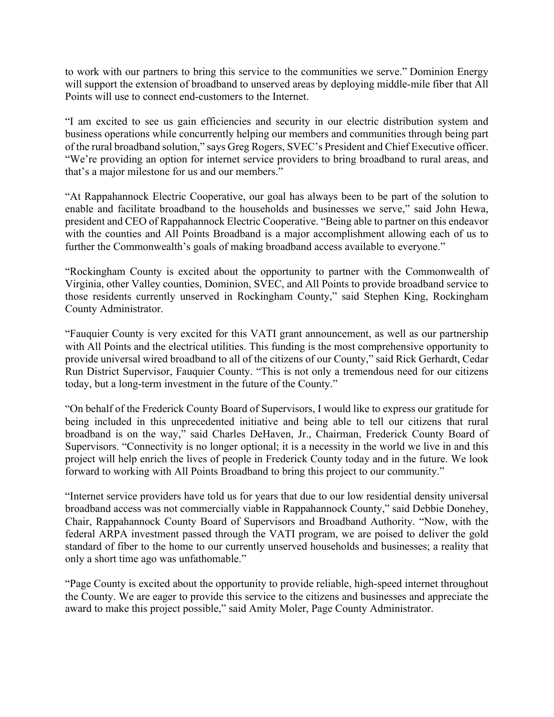to work with our partners to bring this service to the communities we serve." Dominion Energy will support the extension of broadband to unserved areas by deploying middle-mile fiber that All Points will use to connect end-customers to the Internet.

"I am excited to see us gain efficiencies and security in our electric distribution system and business operations while concurrently helping our members and communities through being part of the rural broadband solution," says Greg Rogers, SVEC's President and Chief Executive officer. "We're providing an option for internet service providers to bring broadband to rural areas, and that's a major milestone for us and our members."

"At Rappahannock Electric Cooperative, our goal has always been to be part of the solution to enable and facilitate broadband to the households and businesses we serve," said John Hewa, president and CEO of Rappahannock Electric Cooperative. "Being able to partner on this endeavor with the counties and All Points Broadband is a major accomplishment allowing each of us to further the Commonwealth's goals of making broadband access available to everyone."

"Rockingham County is excited about the opportunity to partner with the Commonwealth of Virginia, other Valley counties, Dominion, SVEC, and All Points to provide broadband service to those residents currently unserved in Rockingham County," said Stephen King, Rockingham County Administrator.

"Fauquier County is very excited for this VATI grant announcement, as well as our partnership with All Points and the electrical utilities. This funding is the most comprehensive opportunity to provide universal wired broadband to all of the citizens of our County," said Rick Gerhardt, Cedar Run District Supervisor, Fauquier County. "This is not only a tremendous need for our citizens today, but a long-term investment in the future of the County."

"On behalf of the Frederick County Board of Supervisors, I would like to express our gratitude for being included in this unprecedented initiative and being able to tell our citizens that rural broadband is on the way," said Charles DeHaven, Jr., Chairman, Frederick County Board of Supervisors. "Connectivity is no longer optional; it is a necessity in the world we live in and this project will help enrich the lives of people in Frederick County today and in the future. We look forward to working with All Points Broadband to bring this project to our community."

"Internet service providers have told us for years that due to our low residential density universal broadband access was not commercially viable in Rappahannock County," said Debbie Donehey, Chair, Rappahannock County Board of Supervisors and Broadband Authority. "Now, with the federal ARPA investment passed through the VATI program, we are poised to deliver the gold standard of fiber to the home to our currently unserved households and businesses; a reality that only a short time ago was unfathomable."

"Page County is excited about the opportunity to provide reliable, high-speed internet throughout the County. We are eager to provide this service to the citizens and businesses and appreciate the award to make this project possible," said Amity Moler, Page County Administrator.